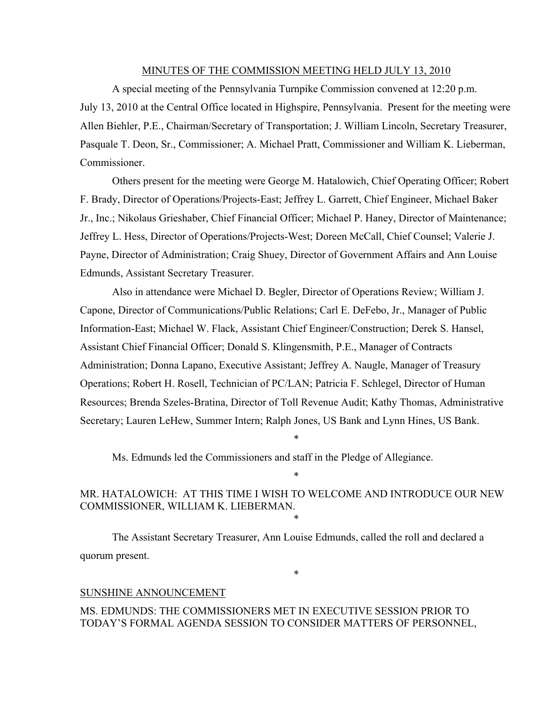#### MINUTES OF THE COMMISSION MEETING HELD JULY 13, 2010

A special meeting of the Pennsylvania Turnpike Commission convened at 12:20 p.m. July 13, 2010 at the Central Office located in Highspire, Pennsylvania. Present for the meeting were Allen Biehler, P.E., Chairman/Secretary of Transportation; J. William Lincoln, Secretary Treasurer, Pasquale T. Deon, Sr., Commissioner; A. Michael Pratt, Commissioner and William K. Lieberman, Commissioner.

Others present for the meeting were George M. Hatalowich, Chief Operating Officer; Robert F. Brady, Director of Operations/Projects-East; Jeffrey L. Garrett, Chief Engineer, Michael Baker Jr., Inc.; Nikolaus Grieshaber, Chief Financial Officer; Michael P. Haney, Director of Maintenance; Jeffrey L. Hess, Director of Operations/Projects-West; Doreen McCall, Chief Counsel; Valerie J. Payne, Director of Administration; Craig Shuey, Director of Government Affairs and Ann Louise Edmunds, Assistant Secretary Treasurer.

Also in attendance were Michael D. Begler, Director of Operations Review; William J. Capone, Director of Communications/Public Relations; Carl E. DeFebo, Jr., Manager of Public Information-East; Michael W. Flack, Assistant Chief Engineer/Construction; Derek S. Hansel, Assistant Chief Financial Officer; Donald S. Klingensmith, P.E., Manager of Contracts Administration; Donna Lapano, Executive Assistant; Jeffrey A. Naugle, Manager of Treasury Operations; Robert H. Rosell, Technician of PC/LAN; Patricia F. Schlegel, Director of Human Resources; Brenda Szeles-Bratina, Director of Toll Revenue Audit; Kathy Thomas, Administrative Secretary; Lauren LeHew, Summer Intern; Ralph Jones, US Bank and Lynn Hines, US Bank.

Ms. Edmunds led the Commissioners and staff in the Pledge of Allegiance.

# MR. HATALOWICH: AT THIS TIME I WISH TO WELCOME AND INTRODUCE OUR NEW COMMISSIONER, WILLIAM K. LIEBERMAN.

\*

\*

\*

\*

The Assistant Secretary Treasurer, Ann Louise Edmunds, called the roll and declared a quorum present.

#### SUNSHINE ANNOUNCEMENT

MS. EDMUNDS: THE COMMISSIONERS MET IN EXECUTIVE SESSION PRIOR TO TODAY'S FORMAL AGENDA SESSION TO CONSIDER MATTERS OF PERSONNEL,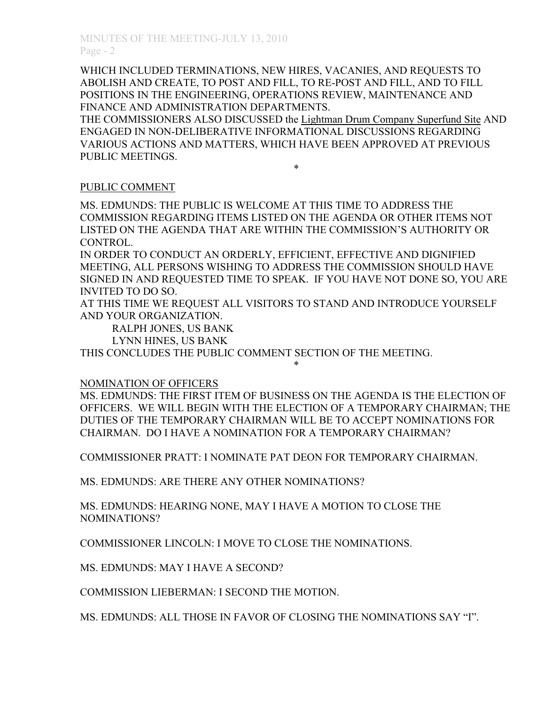WHICH INCLUDED TERMINATIONS, NEW HIRES, VACANIES, AND REQUESTS TO ABOLISH AND CREATE, TO POST AND FILL, TO RE-POST AND FILL, AND TO FILL POSITIONS IN THE ENGINEERING, OPERATIONS REVIEW, MAINTENANCE AND FINANCE AND ADMINISTRATION DEPARTMENTS.

THE COMMISSIONERS ALSO DISCUSSED the Lightman Drum Company Superfund Site AND ENGAGED IN NON-DELIBERATIVE INFORMATIONAL DISCUSSIONS REGARDING VARIOUS ACTIONS AND MATTERS, WHICH HAVE BEEN APPROVED AT PREVIOUS PUBLIC MEETINGS. \*

## PUBLIC COMMENT

MS. EDMUNDS: THE PUBLIC IS WELCOME AT THIS TIME TO ADDRESS THE COMMISSION REGARDING ITEMS LISTED ON THE AGENDA OR OTHER ITEMS NOT LISTED ON THE AGENDA THAT ARE WITHIN THE COMMISSION'S AUTHORITY OR CONTROL.

IN ORDER TO CONDUCT AN ORDERLY, EFFICIENT, EFFECTIVE AND DIGNIFIED MEETING, ALL PERSONS WISHING TO ADDRESS THE COMMISSION SHOULD HAVE SIGNED IN AND REQUESTED TIME TO SPEAK. IF YOU HAVE NOT DONE SO, YOU ARE INVITED TO DO SO.

AT THIS TIME WE REQUEST ALL VISITORS TO STAND AND INTRODUCE YOURSELF AND YOUR ORGANIZATION.

RALPH JONES, US BANK

LYNN HINES, US BANK

THIS CONCLUDES THE PUBLIC COMMENT SECTION OF THE MEETING.

\*

## NOMINATION OF OFFICERS

MS. EDMUNDS: THE FIRST ITEM OF BUSINESS ON THE AGENDA IS THE ELECTION OF OFFICERS. WE WILL BEGIN WITH THE ELECTION OF A TEMPORARY CHAIRMAN; THE DUTIES OF THE TEMPORARY CHAIRMAN WILL BE TO ACCEPT NOMINATIONS FOR CHAIRMAN. DO I HAVE A NOMINATION FOR A TEMPORARY CHAIRMAN?

COMMISSIONER PRATT: I NOMINATE PAT DEON FOR TEMPORARY CHAIRMAN.

MS. EDMUNDS: ARE THERE ANY OTHER NOMINATIONS?

MS. EDMUNDS: HEARING NONE, MAY I HAVE A MOTION TO CLOSE THE NOMINATIONS?

COMMISSIONER LINCOLN: I MOVE TO CLOSE THE NOMINATIONS.

MS. EDMUNDS: MAY I HAVE A SECOND?

COMMISSION LIEBERMAN: I SECOND THE MOTION.

MS. EDMUNDS: ALL THOSE IN FAVOR OF CLOSING THE NOMINATIONS SAY "I".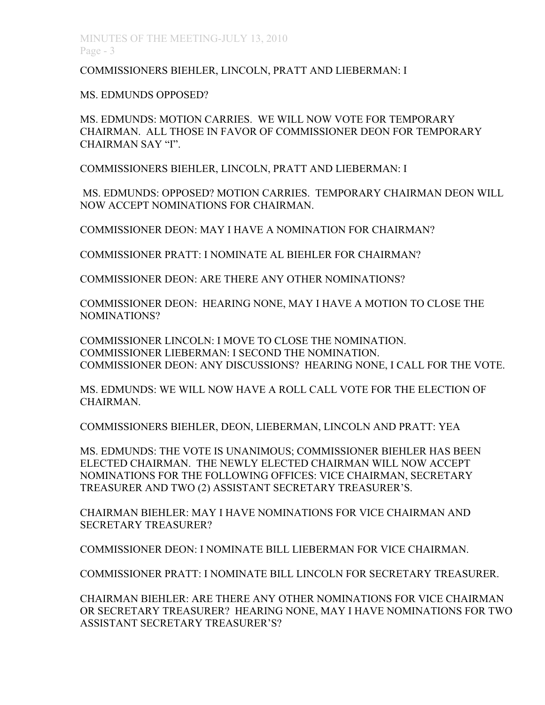COMMISSIONERS BIEHLER, LINCOLN, PRATT AND LIEBERMAN: I

MS. EDMUNDS OPPOSED?

MS. EDMUNDS: MOTION CARRIES. WE WILL NOW VOTE FOR TEMPORARY CHAIRMAN. ALL THOSE IN FAVOR OF COMMISSIONER DEON FOR TEMPORARY CHAIRMAN SAY "I".

COMMISSIONERS BIEHLER, LINCOLN, PRATT AND LIEBERMAN: I

 MS. EDMUNDS: OPPOSED? MOTION CARRIES. TEMPORARY CHAIRMAN DEON WILL NOW ACCEPT NOMINATIONS FOR CHAIRMAN.

COMMISSIONER DEON: MAY I HAVE A NOMINATION FOR CHAIRMAN?

COMMISSIONER PRATT: I NOMINATE AL BIEHLER FOR CHAIRMAN?

COMMISSIONER DEON: ARE THERE ANY OTHER NOMINATIONS?

COMMISSIONER DEON: HEARING NONE, MAY I HAVE A MOTION TO CLOSE THE NOMINATIONS?

COMMISSIONER LINCOLN: I MOVE TO CLOSE THE NOMINATION. COMMISSIONER LIEBERMAN: I SECOND THE NOMINATION. COMMISSIONER DEON: ANY DISCUSSIONS? HEARING NONE, I CALL FOR THE VOTE.

MS. EDMUNDS: WE WILL NOW HAVE A ROLL CALL VOTE FOR THE ELECTION OF CHAIRMAN.

COMMISSIONERS BIEHLER, DEON, LIEBERMAN, LINCOLN AND PRATT: YEA

MS. EDMUNDS: THE VOTE IS UNANIMOUS; COMMISSIONER BIEHLER HAS BEEN ELECTED CHAIRMAN. THE NEWLY ELECTED CHAIRMAN WILL NOW ACCEPT NOMINATIONS FOR THE FOLLOWING OFFICES: VICE CHAIRMAN, SECRETARY TREASURER AND TWO (2) ASSISTANT SECRETARY TREASURER'S.

CHAIRMAN BIEHLER: MAY I HAVE NOMINATIONS FOR VICE CHAIRMAN AND SECRETARY TREASURER?

COMMISSIONER DEON: I NOMINATE BILL LIEBERMAN FOR VICE CHAIRMAN.

COMMISSIONER PRATT: I NOMINATE BILL LINCOLN FOR SECRETARY TREASURER.

CHAIRMAN BIEHLER: ARE THERE ANY OTHER NOMINATIONS FOR VICE CHAIRMAN OR SECRETARY TREASURER? HEARING NONE, MAY I HAVE NOMINATIONS FOR TWO ASSISTANT SECRETARY TREASURER'S?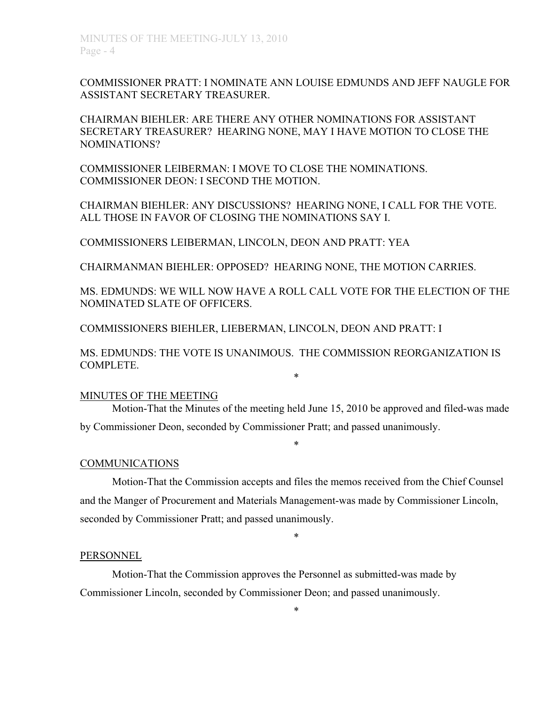COMMISSIONER PRATT: I NOMINATE ANN LOUISE EDMUNDS AND JEFF NAUGLE FOR ASSISTANT SECRETARY TREASURER.

CHAIRMAN BIEHLER: ARE THERE ANY OTHER NOMINATIONS FOR ASSISTANT SECRETARY TREASURER? HEARING NONE, MAY I HAVE MOTION TO CLOSE THE NOMINATIONS?

COMMISSIONER LEIBERMAN: I MOVE TO CLOSE THE NOMINATIONS. COMMISSIONER DEON: I SECOND THE MOTION.

CHAIRMAN BIEHLER: ANY DISCUSSIONS? HEARING NONE, I CALL FOR THE VOTE. ALL THOSE IN FAVOR OF CLOSING THE NOMINATIONS SAY I.

COMMISSIONERS LEIBERMAN, LINCOLN, DEON AND PRATT: YEA

CHAIRMANMAN BIEHLER: OPPOSED? HEARING NONE, THE MOTION CARRIES.

MS. EDMUNDS: WE WILL NOW HAVE A ROLL CALL VOTE FOR THE ELECTION OF THE NOMINATED SLATE OF OFFICERS.

COMMISSIONERS BIEHLER, LIEBERMAN, LINCOLN, DEON AND PRATT: I

MS. EDMUNDS: THE VOTE IS UNANIMOUS. THE COMMISSION REORGANIZATION IS COMPLETE. \*

#### MINUTES OF THE MEETING

Motion-That the Minutes of the meeting held June 15, 2010 be approved and filed-was made by Commissioner Deon, seconded by Commissioner Pratt; and passed unanimously.

\*

#### COMMUNICATIONS

Motion-That the Commission accepts and files the memos received from the Chief Counsel and the Manger of Procurement and Materials Management-was made by Commissioner Lincoln, seconded by Commissioner Pratt; and passed unanimously.

\*

#### PERSONNEL

Motion-That the Commission approves the Personnel as submitted-was made by Commissioner Lincoln, seconded by Commissioner Deon; and passed unanimously.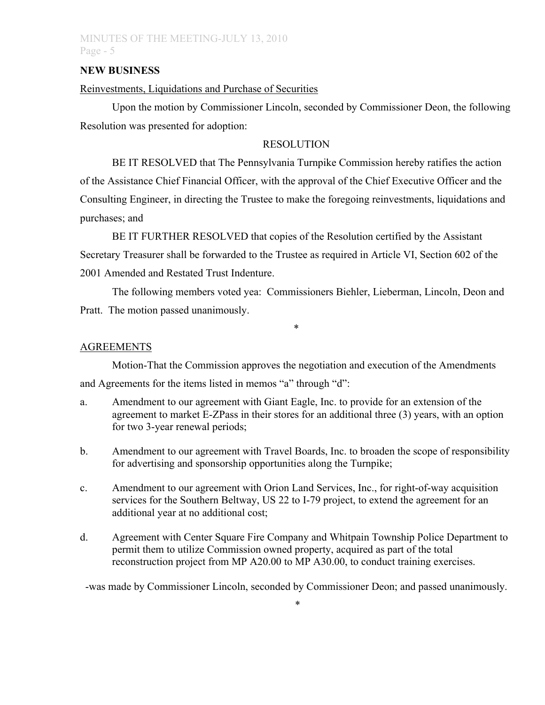### **NEW BUSINESS**

## Reinvestments, Liquidations and Purchase of Securities

Upon the motion by Commissioner Lincoln, seconded by Commissioner Deon, the following Resolution was presented for adoption:

### **RESOLUTION**

BE IT RESOLVED that The Pennsylvania Turnpike Commission hereby ratifies the action of the Assistance Chief Financial Officer, with the approval of the Chief Executive Officer and the Consulting Engineer, in directing the Trustee to make the foregoing reinvestments, liquidations and purchases; and

BE IT FURTHER RESOLVED that copies of the Resolution certified by the Assistant Secretary Treasurer shall be forwarded to the Trustee as required in Article VI, Section 602 of the 2001 Amended and Restated Trust Indenture.

The following members voted yea: Commissioners Biehler, Lieberman, Lincoln, Deon and Pratt. The motion passed unanimously.

\*

## **AGREEMENTS**

Motion-That the Commission approves the negotiation and execution of the Amendments and Agreements for the items listed in memos "a" through "d":

- a. Amendment to our agreement with Giant Eagle, Inc. to provide for an extension of the agreement to market E-ZPass in their stores for an additional three (3) years, with an option for two 3-year renewal periods;
- b. Amendment to our agreement with Travel Boards, Inc. to broaden the scope of responsibility for advertising and sponsorship opportunities along the Turnpike;
- c. Amendment to our agreement with Orion Land Services, Inc., for right-of-way acquisition services for the Southern Beltway, US 22 to I-79 project, to extend the agreement for an additional year at no additional cost;
- d. Agreement with Center Square Fire Company and Whitpain Township Police Department to permit them to utilize Commission owned property, acquired as part of the total reconstruction project from MP A20.00 to MP A30.00, to conduct training exercises.

-was made by Commissioner Lincoln, seconded by Commissioner Deon; and passed unanimously.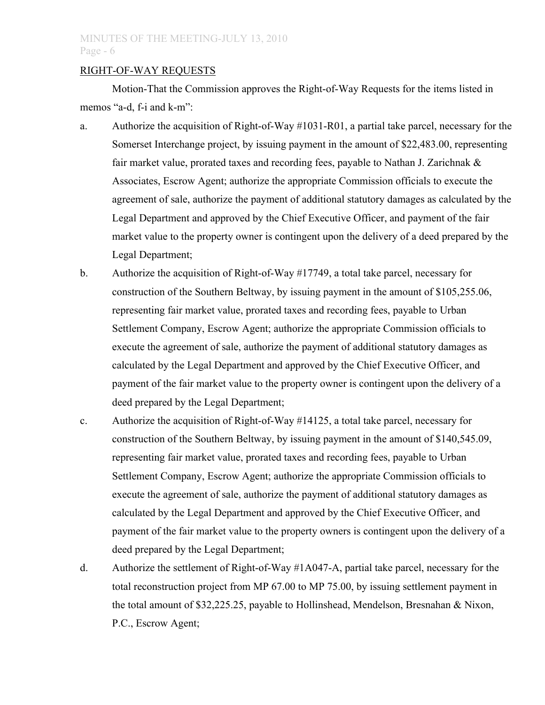### RIGHT-OF-WAY REQUESTS

Motion-That the Commission approves the Right-of-Way Requests for the items listed in memos "a-d, f-i and k-m":

- a. Authorize the acquisition of Right-of-Way #1031-R01, a partial take parcel, necessary for the Somerset Interchange project, by issuing payment in the amount of \$22,483.00, representing fair market value, prorated taxes and recording fees, payable to Nathan J. Zarichnak & Associates, Escrow Agent; authorize the appropriate Commission officials to execute the agreement of sale, authorize the payment of additional statutory damages as calculated by the Legal Department and approved by the Chief Executive Officer, and payment of the fair market value to the property owner is contingent upon the delivery of a deed prepared by the Legal Department;
- b. Authorize the acquisition of Right-of-Way #17749, a total take parcel, necessary for construction of the Southern Beltway, by issuing payment in the amount of \$105,255.06, representing fair market value, prorated taxes and recording fees, payable to Urban Settlement Company, Escrow Agent; authorize the appropriate Commission officials to execute the agreement of sale, authorize the payment of additional statutory damages as calculated by the Legal Department and approved by the Chief Executive Officer, and payment of the fair market value to the property owner is contingent upon the delivery of a deed prepared by the Legal Department;
- c. Authorize the acquisition of Right-of-Way #14125, a total take parcel, necessary for construction of the Southern Beltway, by issuing payment in the amount of \$140,545.09, representing fair market value, prorated taxes and recording fees, payable to Urban Settlement Company, Escrow Agent; authorize the appropriate Commission officials to execute the agreement of sale, authorize the payment of additional statutory damages as calculated by the Legal Department and approved by the Chief Executive Officer, and payment of the fair market value to the property owners is contingent upon the delivery of a deed prepared by the Legal Department;
- d. Authorize the settlement of Right-of-Way #1A047-A, partial take parcel, necessary for the total reconstruction project from MP 67.00 to MP 75.00, by issuing settlement payment in the total amount of \$32,225.25, payable to Hollinshead, Mendelson, Bresnahan & Nixon, P.C., Escrow Agent;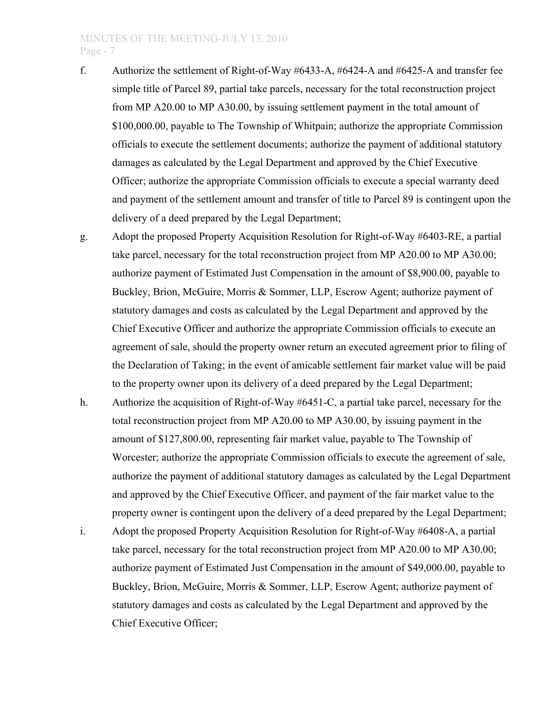- f. Authorize the settlement of Right-of-Way #6433-A, #6424-A and #6425-A and transfer fee simple title of Parcel 89, partial take parcels, necessary for the total reconstruction project from MP A20.00 to MP A30.00, by issuing settlement payment in the total amount of \$100,000.00, payable to The Township of Whitpain; authorize the appropriate Commission officials to execute the settlement documents; authorize the payment of additional statutory damages as calculated by the Legal Department and approved by the Chief Executive Officer; authorize the appropriate Commission officials to execute a special warranty deed and payment of the settlement amount and transfer of title to Parcel 89 is contingent upon the delivery of a deed prepared by the Legal Department;
- g. Adopt the proposed Property Acquisition Resolution for Right-of-Way #6403-RE, a partial take parcel, necessary for the total reconstruction project from MP A20.00 to MP A30.00; authorize payment of Estimated Just Compensation in the amount of \$8,900.00, payable to Buckley, Brion, McGuire, Morris & Sommer, LLP, Escrow Agent; authorize payment of statutory damages and costs as calculated by the Legal Department and approved by the Chief Executive Officer and authorize the appropriate Commission officials to execute an agreement of sale, should the property owner return an executed agreement prior to filing of the Declaration of Taking; in the event of amicable settlement fair market value will be paid to the property owner upon its delivery of a deed prepared by the Legal Department;
- h. Authorize the acquisition of Right-of-Way #6451-C, a partial take parcel, necessary for the total reconstruction project from MP A20.00 to MP A30.00, by issuing payment in the amount of \$127,800.00, representing fair market value, payable to The Township of Worcester; authorize the appropriate Commission officials to execute the agreement of sale, authorize the payment of additional statutory damages as calculated by the Legal Department and approved by the Chief Executive Officer, and payment of the fair market value to the property owner is contingent upon the delivery of a deed prepared by the Legal Department;
- i. Adopt the proposed Property Acquisition Resolution for Right-of-Way #6408-A, a partial take parcel, necessary for the total reconstruction project from MP A20.00 to MP A30.00; authorize payment of Estimated Just Compensation in the amount of \$49,000.00, payable to Buckley, Brion, McGuire, Morris & Sommer, LLP, Escrow Agent; authorize payment of statutory damages and costs as calculated by the Legal Department and approved by the Chief Executive Officer;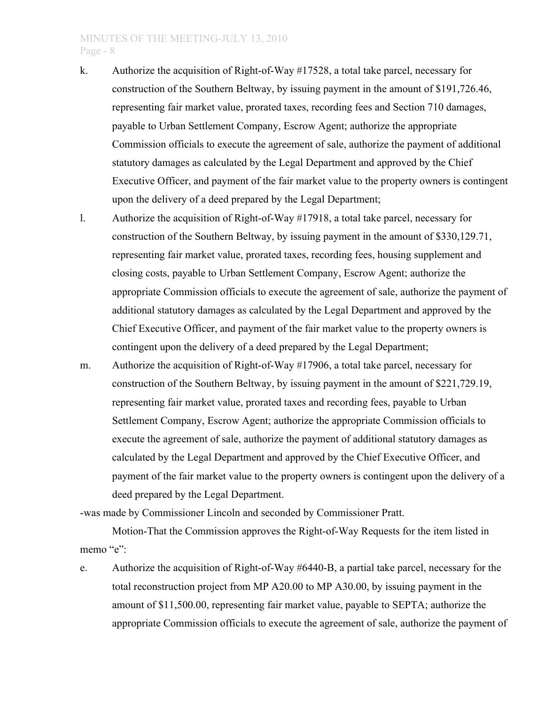- k. Authorize the acquisition of Right-of-Way #17528, a total take parcel, necessary for construction of the Southern Beltway, by issuing payment in the amount of \$191,726.46, representing fair market value, prorated taxes, recording fees and Section 710 damages, payable to Urban Settlement Company, Escrow Agent; authorize the appropriate Commission officials to execute the agreement of sale, authorize the payment of additional statutory damages as calculated by the Legal Department and approved by the Chief Executive Officer, and payment of the fair market value to the property owners is contingent upon the delivery of a deed prepared by the Legal Department;
- l. Authorize the acquisition of Right-of-Way #17918, a total take parcel, necessary for construction of the Southern Beltway, by issuing payment in the amount of \$330,129.71, representing fair market value, prorated taxes, recording fees, housing supplement and closing costs, payable to Urban Settlement Company, Escrow Agent; authorize the appropriate Commission officials to execute the agreement of sale, authorize the payment of additional statutory damages as calculated by the Legal Department and approved by the Chief Executive Officer, and payment of the fair market value to the property owners is contingent upon the delivery of a deed prepared by the Legal Department;
- m. Authorize the acquisition of Right-of-Way #17906, a total take parcel, necessary for construction of the Southern Beltway, by issuing payment in the amount of \$221,729.19, representing fair market value, prorated taxes and recording fees, payable to Urban Settlement Company, Escrow Agent; authorize the appropriate Commission officials to execute the agreement of sale, authorize the payment of additional statutory damages as calculated by the Legal Department and approved by the Chief Executive Officer, and payment of the fair market value to the property owners is contingent upon the delivery of a deed prepared by the Legal Department.

-was made by Commissioner Lincoln and seconded by Commissioner Pratt.

Motion-That the Commission approves the Right-of-Way Requests for the item listed in memo "e":

e. Authorize the acquisition of Right-of-Way #6440-B, a partial take parcel, necessary for the total reconstruction project from MP A20.00 to MP A30.00, by issuing payment in the amount of \$11,500.00, representing fair market value, payable to SEPTA; authorize the appropriate Commission officials to execute the agreement of sale, authorize the payment of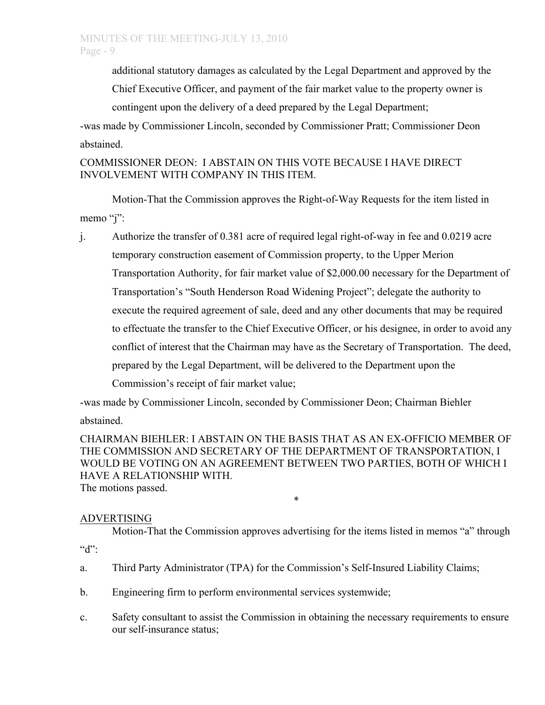additional statutory damages as calculated by the Legal Department and approved by the Chief Executive Officer, and payment of the fair market value to the property owner is

contingent upon the delivery of a deed prepared by the Legal Department;

-was made by Commissioner Lincoln, seconded by Commissioner Pratt; Commissioner Deon abstained.

# COMMISSIONER DEON: I ABSTAIN ON THIS VOTE BECAUSE I HAVE DIRECT INVOLVEMENT WITH COMPANY IN THIS ITEM.

Motion-That the Commission approves the Right-of-Way Requests for the item listed in memo "j":

j. Authorize the transfer of 0.381 acre of required legal right-of-way in fee and 0.0219 acre temporary construction easement of Commission property, to the Upper Merion Transportation Authority, for fair market value of \$2,000.00 necessary for the Department of Transportation's "South Henderson Road Widening Project"; delegate the authority to execute the required agreement of sale, deed and any other documents that may be required to effectuate the transfer to the Chief Executive Officer, or his designee, in order to avoid any conflict of interest that the Chairman may have as the Secretary of Transportation. The deed, prepared by the Legal Department, will be delivered to the Department upon the Commission's receipt of fair market value;

-was made by Commissioner Lincoln, seconded by Commissioner Deon; Chairman Biehler abstained.

CHAIRMAN BIEHLER: I ABSTAIN ON THE BASIS THAT AS AN EX-OFFICIO MEMBER OF THE COMMISSION AND SECRETARY OF THE DEPARTMENT OF TRANSPORTATION, I WOULD BE VOTING ON AN AGREEMENT BETWEEN TWO PARTIES, BOTH OF WHICH I HAVE A RELATIONSHIP WITH. The motions passed.

\*

# ADVERTISING

Motion-That the Commission approves advertising for the items listed in memos "a" through  $``d"$ :

- a. Third Party Administrator (TPA) for the Commission's Self-Insured Liability Claims;
- b. Engineering firm to perform environmental services systemwide;
- c. Safety consultant to assist the Commission in obtaining the necessary requirements to ensure our self-insurance status;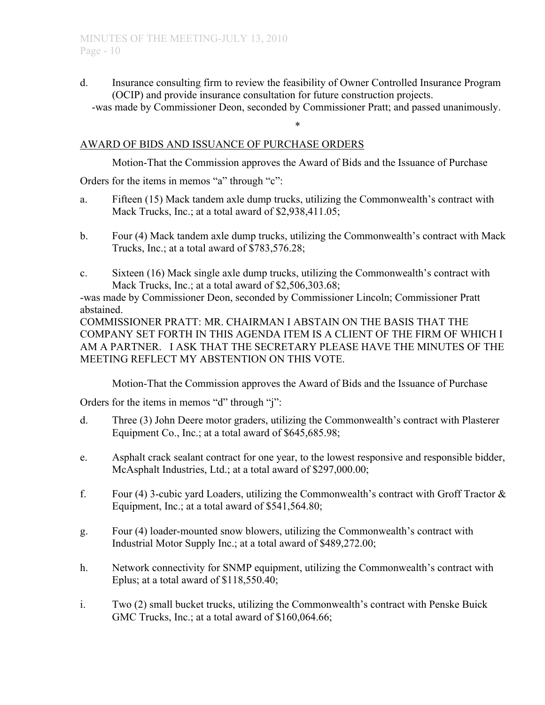d. Insurance consulting firm to review the feasibility of Owner Controlled Insurance Program (OCIP) and provide insurance consultation for future construction projects.

-was made by Commissioner Deon, seconded by Commissioner Pratt; and passed unanimously. \*

## AWARD OF BIDS AND ISSUANCE OF PURCHASE ORDERS

Motion-That the Commission approves the Award of Bids and the Issuance of Purchase

Orders for the items in memos "a" through "c":

- a. Fifteen (15) Mack tandem axle dump trucks, utilizing the Commonwealth's contract with Mack Trucks, Inc.; at a total award of \$2,938,411.05;
- b. Four (4) Mack tandem axle dump trucks, utilizing the Commonwealth's contract with Mack Trucks, Inc.; at a total award of \$783,576.28;
- c. Sixteen (16) Mack single axle dump trucks, utilizing the Commonwealth's contract with Mack Trucks, Inc.; at a total award of \$2,506,303.68;

-was made by Commissioner Deon, seconded by Commissioner Lincoln; Commissioner Pratt abstained.

COMMISSIONER PRATT: MR. CHAIRMAN I ABSTAIN ON THE BASIS THAT THE COMPANY SET FORTH IN THIS AGENDA ITEM IS A CLIENT OF THE FIRM OF WHICH I AM A PARTNER. I ASK THAT THE SECRETARY PLEASE HAVE THE MINUTES OF THE MEETING REFLECT MY ABSTENTION ON THIS VOTE.

Motion-That the Commission approves the Award of Bids and the Issuance of Purchase

Orders for the items in memos "d" through "j":

- d. Three (3) John Deere motor graders, utilizing the Commonwealth's contract with Plasterer Equipment Co., Inc.; at a total award of \$645,685.98;
- e. Asphalt crack sealant contract for one year, to the lowest responsive and responsible bidder, McAsphalt Industries, Ltd.; at a total award of \$297,000.00;
- f. Four (4) 3-cubic yard Loaders, utilizing the Commonwealth's contract with Groff Tractor  $\&$ Equipment, Inc.; at a total award of \$541,564.80;
- g. Four (4) loader-mounted snow blowers, utilizing the Commonwealth's contract with Industrial Motor Supply Inc.; at a total award of \$489,272.00;
- h. Network connectivity for SNMP equipment, utilizing the Commonwealth's contract with Eplus; at a total award of \$118,550.40;
- i. Two (2) small bucket trucks, utilizing the Commonwealth's contract with Penske Buick GMC Trucks, Inc.; at a total award of \$160,064.66;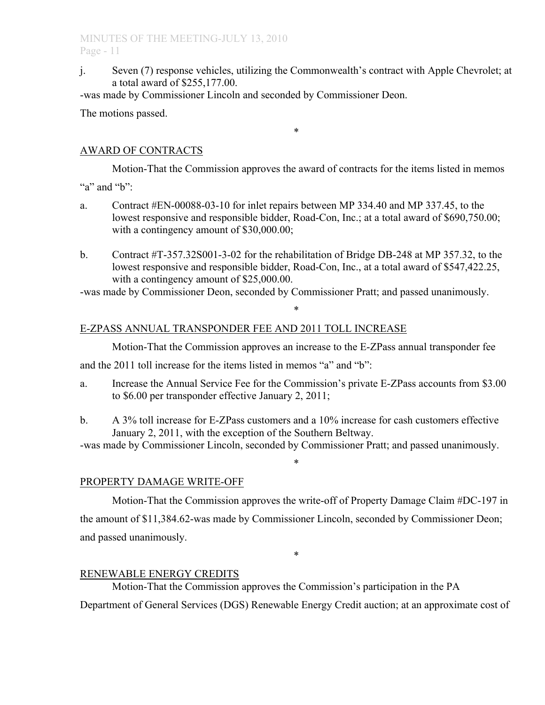j. Seven (7) response vehicles, utilizing the Commonwealth's contract with Apple Chevrolet; at a total award of \$255,177.00.

-was made by Commissioner Lincoln and seconded by Commissioner Deon.

The motions passed.

# AWARD OF CONTRACTS

Motion-That the Commission approves the award of contracts for the items listed in memos "a" and "b":

\*

- a. Contract #EN-00088-03-10 for inlet repairs between MP 334.40 and MP 337.45, to the lowest responsive and responsible bidder, Road-Con, Inc.; at a total award of \$690,750.00; with a contingency amount of \$30,000.00;
- b. Contract #T-357.32S001-3-02 for the rehabilitation of Bridge DB-248 at MP 357.32, to the lowest responsive and responsible bidder, Road-Con, Inc., at a total award of \$547,422.25, with a contingency amount of \$25,000.00.

\*

-was made by Commissioner Deon, seconded by Commissioner Pratt; and passed unanimously.

# E-ZPASS ANNUAL TRANSPONDER FEE AND 2011 TOLL INCREASE

Motion-That the Commission approves an increase to the E-ZPass annual transponder fee

and the 2011 toll increase for the items listed in memos "a" and "b":

- a. Increase the Annual Service Fee for the Commission's private E-ZPass accounts from \$3.00 to \$6.00 per transponder effective January 2, 2011;
- b. A 3% toll increase for E-ZPass customers and a 10% increase for cash customers effective January 2, 2011, with the exception of the Southern Beltway.

-was made by Commissioner Lincoln, seconded by Commissioner Pratt; and passed unanimously.

\*

# PROPERTY DAMAGE WRITE-OFF

Motion-That the Commission approves the write-off of Property Damage Claim #DC-197 in the amount of \$11,384.62-was made by Commissioner Lincoln, seconded by Commissioner Deon; and passed unanimously.

\*

# RENEWABLE ENERGY CREDITS

Motion-That the Commission approves the Commission's participation in the PA Department of General Services (DGS) Renewable Energy Credit auction; at an approximate cost of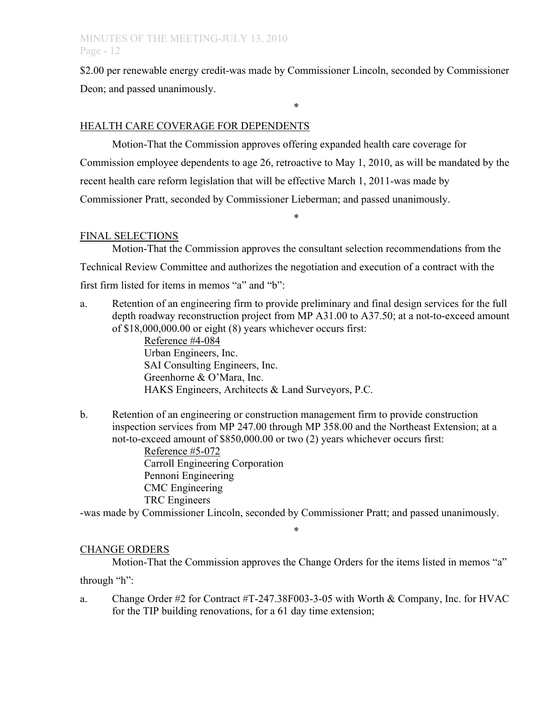\$2.00 per renewable energy credit-was made by Commissioner Lincoln, seconded by Commissioner Deon; and passed unanimously.

\*

# HEALTH CARE COVERAGE FOR DEPENDENTS

Motion-That the Commission approves offering expanded health care coverage for Commission employee dependents to age 26, retroactive to May 1, 2010, as will be mandated by the recent health care reform legislation that will be effective March 1, 2011-was made by Commissioner Pratt, seconded by Commissioner Lieberman; and passed unanimously.

\*

#### FINAL SELECTIONS

Motion-That the Commission approves the consultant selection recommendations from the Technical Review Committee and authorizes the negotiation and execution of a contract with the first firm listed for items in memos "a" and "b":

a. Retention of an engineering firm to provide preliminary and final design services for the full depth roadway reconstruction project from MP A31.00 to A37.50; at a not-to-exceed amount of \$18,000,000.00 or eight (8) years whichever occurs first:

> Reference #4-084 Urban Engineers, Inc. SAI Consulting Engineers, Inc. Greenhorne & O'Mara, Inc. HAKS Engineers, Architects & Land Surveyors, P.C.

b. Retention of an engineering or construction management firm to provide construction inspection services from MP 247.00 through MP 358.00 and the Northeast Extension; at a not-to-exceed amount of \$850,000.00 or two (2) years whichever occurs first: Reference #5-072 Carroll Engineering Corporation Pennoni Engineering CMC Engineering

-was made by Commissioner Lincoln, seconded by Commissioner Pratt; and passed unanimously.

\*

### CHANGE ORDERS

TRC Engineers

Motion-That the Commission approves the Change Orders for the items listed in memos "a" through "h":

a. Change Order #2 for Contract #T-247.38F003-3-05 with Worth & Company, Inc. for HVAC for the TIP building renovations, for a 61 day time extension;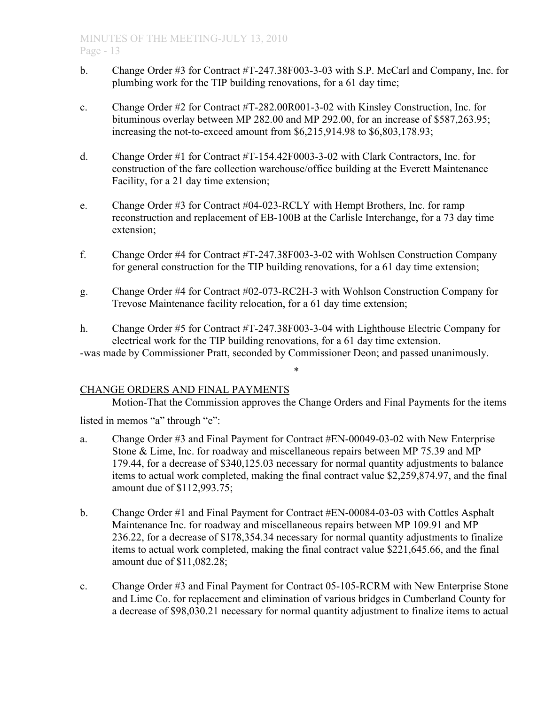- b. Change Order #3 for Contract #T-247.38F003-3-03 with S.P. McCarl and Company, Inc. for plumbing work for the TIP building renovations, for a 61 day time;
- c. Change Order #2 for Contract #T-282.00R001-3-02 with Kinsley Construction, Inc. for bituminous overlay between MP 282.00 and MP 292.00, for an increase of \$587,263.95; increasing the not-to-exceed amount from \$6,215,914.98 to \$6,803,178.93;
- d. Change Order #1 for Contract #T-154.42F0003-3-02 with Clark Contractors, Inc. for construction of the fare collection warehouse/office building at the Everett Maintenance Facility, for a 21 day time extension;
- e. Change Order #3 for Contract #04-023-RCLY with Hempt Brothers, Inc. for ramp reconstruction and replacement of EB-100B at the Carlisle Interchange, for a 73 day time extension;
- f. Change Order #4 for Contract #T-247.38F003-3-02 with Wohlsen Construction Company for general construction for the TIP building renovations, for a 61 day time extension;
- g. Change Order #4 for Contract #02-073-RC2H-3 with Wohlson Construction Company for Trevose Maintenance facility relocation, for a 61 day time extension;
- h. Change Order #5 for Contract #T-247.38F003-3-04 with Lighthouse Electric Company for electrical work for the TIP building renovations, for a 61 day time extension. -was made by Commissioner Pratt, seconded by Commissioner Deon; and passed unanimously.

# CHANGE ORDERS AND FINAL PAYMENTS

Motion-That the Commission approves the Change Orders and Final Payments for the items listed in memos "a" through "e":

\*

- a. Change Order #3 and Final Payment for Contract #EN-00049-03-02 with New Enterprise Stone & Lime, Inc. for roadway and miscellaneous repairs between MP 75.39 and MP 179.44, for a decrease of \$340,125.03 necessary for normal quantity adjustments to balance items to actual work completed, making the final contract value \$2,259,874.97, and the final amount due of \$112,993.75;
- b. Change Order #1 and Final Payment for Contract #EN-00084-03-03 with Cottles Asphalt Maintenance Inc. for roadway and miscellaneous repairs between MP 109.91 and MP 236.22, for a decrease of \$178,354.34 necessary for normal quantity adjustments to finalize items to actual work completed, making the final contract value \$221,645.66, and the final amount due of \$11,082.28;
- c. Change Order #3 and Final Payment for Contract 05-105-RCRM with New Enterprise Stone and Lime Co. for replacement and elimination of various bridges in Cumberland County for a decrease of \$98,030.21 necessary for normal quantity adjustment to finalize items to actual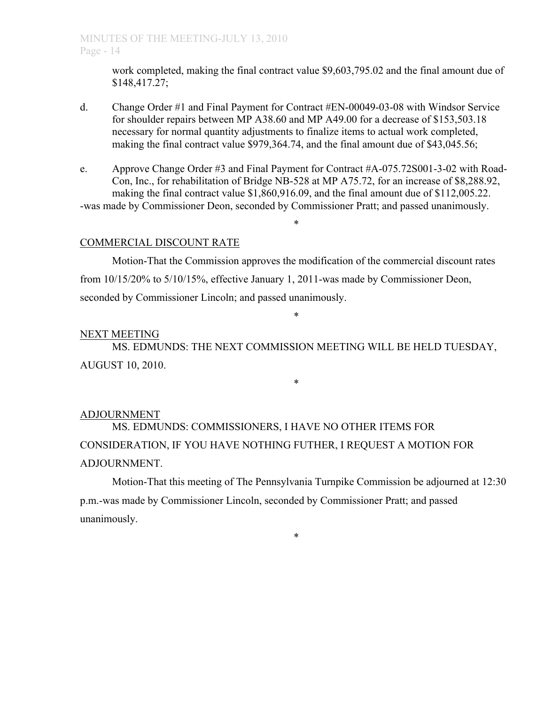work completed, making the final contract value \$9,603,795.02 and the final amount due of \$148,417.27;

- d. Change Order #1 and Final Payment for Contract #EN-00049-03-08 with Windsor Service for shoulder repairs between MP A38.60 and MP A49.00 for a decrease of \$153,503.18 necessary for normal quantity adjustments to finalize items to actual work completed, making the final contract value \$979,364.74, and the final amount due of \$43,045.56;
- e. Approve Change Order #3 and Final Payment for Contract #A-075.72S001-3-02 with Road-Con, Inc., for rehabilitation of Bridge NB-528 at MP A75.72, for an increase of \$8,288.92, making the final contract value \$1,860,916.09, and the final amount due of \$112,005.22. -was made by Commissioner Deon, seconded by Commissioner Pratt; and passed unanimously.

\*

## COMMERCIAL DISCOUNT RATE

Motion-That the Commission approves the modification of the commercial discount rates from 10/15/20% to 5/10/15%, effective January 1, 2011-was made by Commissioner Deon, seconded by Commissioner Lincoln; and passed unanimously.

\*

## NEXT MEETING

MS. EDMUNDS: THE NEXT COMMISSION MEETING WILL BE HELD TUESDAY, AUGUST 10, 2010.

\*

# ADJOURNMENT

MS. EDMUNDS: COMMISSIONERS, I HAVE NO OTHER ITEMS FOR CONSIDERATION, IF YOU HAVE NOTHING FUTHER, I REQUEST A MOTION FOR ADJOURNMENT.

Motion-That this meeting of The Pennsylvania Turnpike Commission be adjourned at 12:30 p.m.-was made by Commissioner Lincoln, seconded by Commissioner Pratt; and passed unanimously.

\*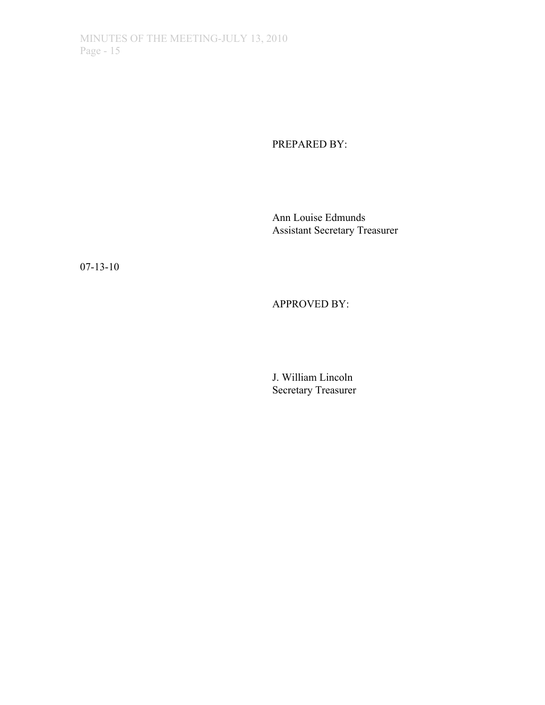PREPARED BY:

Ann Louise Edmunds Assistant Secretary Treasurer

07-13-10

APPROVED BY:

J. William Lincoln Secretary Treasurer